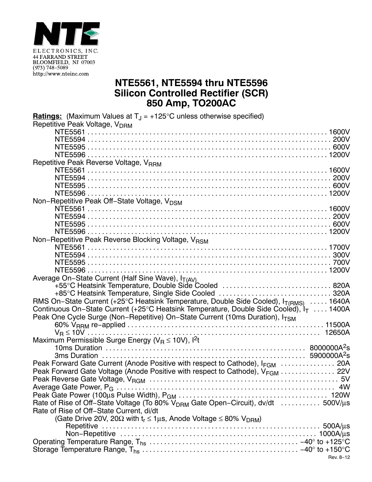

## **NTE5561, NTE5594 thru NTE5596 Silicon Controlled Rectifier (SCR) 850 Amp, TO200AC**

| <b>Ratings:</b> (Maximum Values at $T_{\text{J}} = +125^{\circ}$ C unless otherwise specified)     |
|----------------------------------------------------------------------------------------------------|
| Repetitive Peak Voltage, V <sub>DRM</sub>                                                          |
|                                                                                                    |
|                                                                                                    |
|                                                                                                    |
|                                                                                                    |
| Repetitive Peak Reverse Voltage, VRRM                                                              |
|                                                                                                    |
|                                                                                                    |
|                                                                                                    |
|                                                                                                    |
| Non-Repetitive Peak Off-State Voltage, V <sub>DSM</sub>                                            |
|                                                                                                    |
|                                                                                                    |
|                                                                                                    |
|                                                                                                    |
| Non-Repetitive Peak Reverse Blocking Voltage, VRSM                                                 |
|                                                                                                    |
|                                                                                                    |
|                                                                                                    |
|                                                                                                    |
| Average On-State Current (Half Sine Wave), IT(AV)                                                  |
| +55°C Heatsink Temperature, Double Side Cooled  820A                                               |
| +85°C Heatsink Temperature, Single Side Cooled  320A                                               |
| RMS On-State Current (+25°C Heatsink Temperature, Double Side Cooled), I <sub>T(RMS)</sub> 1640A   |
| Continuous On-State Current (+25°C Heatsink Temperature, Double Side Cooled), I <sub>T</sub> 1400A |
| Peak One Cycle Surge (Non-Repetitive) On-State Current (10ms Duration), I <sub>TSM</sub>           |
|                                                                                                    |
|                                                                                                    |
| Maximum Permissible Surge Energy ( $V_R \le 10V$ ), l <sup>2</sup> t                               |
|                                                                                                    |
|                                                                                                    |
| Peak Forward Gate Current (Anode Positive with respect to Cathode), I <sub>FGM</sub> 20A           |
| Peak Forward Gate Voltage (Anode Positive with respect to Cathode), V <sub>FGM</sub> 22V           |
|                                                                                                    |
|                                                                                                    |
|                                                                                                    |
| Rate of Rise of Off-State Voltage (To 80% V <sub>DRM</sub> Gate Open-Circuit), dv/dt  500V/µs      |
|                                                                                                    |
| Rate of Rise of Off-State Current, di/dt                                                           |
| (Gate Drive 20V, 20 $\Omega$ with $t_r \le 1 \mu s$ , Anode Voltage $\le 80\%$ V <sub>DRM</sub> )  |
|                                                                                                    |
|                                                                                                    |
|                                                                                                    |
|                                                                                                    |